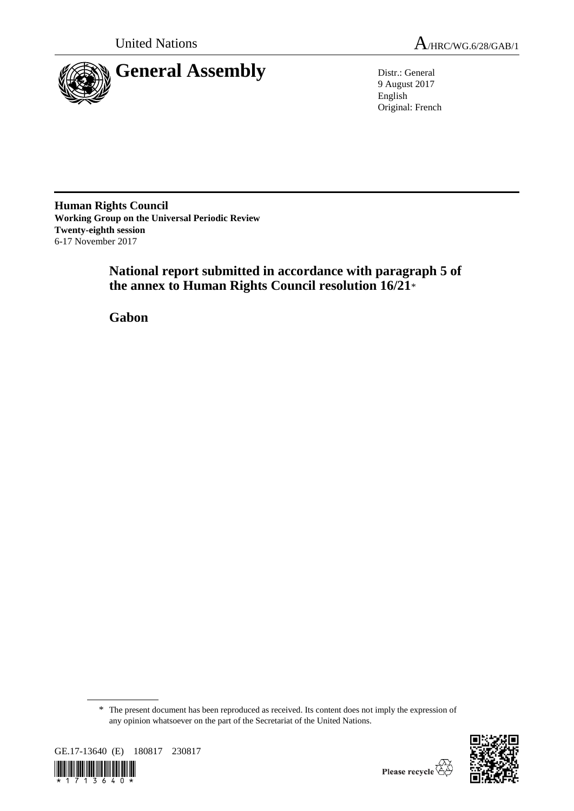

United Nations  $A_{HRC/WG.6/28/GAB/1}$ 

9 August 2017 English Original: French

**Human Rights Council Working Group on the Universal Periodic Review Twenty-eighth session** 6-17 November 2017

> **National report submitted in accordance with paragraph 5 of the annex to Human Rights Council resolution 16/21**\*

**Gabon**

<sup>\*</sup> The present document has been reproduced as received. Its content does not imply the expression of any opinion whatsoever on the part of the Secretariat of the United Nations.



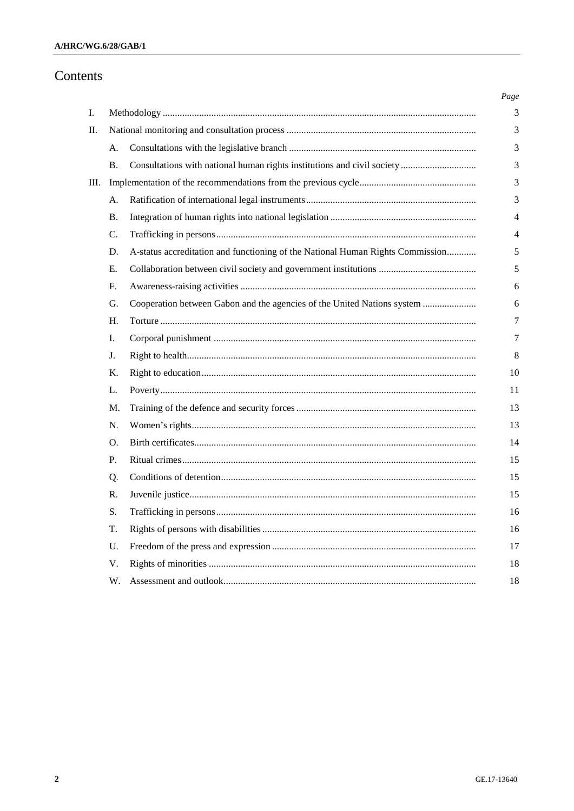# Contents

|    |                |                                                                                | Page           |
|----|----------------|--------------------------------------------------------------------------------|----------------|
| I. |                |                                                                                | 3              |
| П. |                |                                                                                | 3              |
|    | A.             |                                                                                | 3              |
|    | <b>B.</b>      | Consultations with national human rights institutions and civil society        | 3              |
| Ш. |                |                                                                                | 3              |
|    | A.             |                                                                                | 3              |
|    | В.             |                                                                                | $\overline{4}$ |
|    | $\mathbf{C}$ . |                                                                                | $\overline{4}$ |
|    | D.             | A-status accreditation and functioning of the National Human Rights Commission | 5              |
|    | Е.             |                                                                                | 5              |
|    | F.             |                                                                                | 6              |
|    | G.             | Cooperation between Gabon and the agencies of the United Nations system        | 6              |
|    | H.             |                                                                                | 7              |
|    | I.             |                                                                                | 7              |
|    | J.             |                                                                                | 8              |
|    | Κ.             |                                                                                | 10             |
|    | L.             |                                                                                | 11             |
|    | M.             |                                                                                | 13             |
|    | N.             |                                                                                | 13             |
|    | Ω.             |                                                                                | 14             |
|    | P.             |                                                                                | 15             |
|    | Q.             |                                                                                | 15             |
|    | $\mathbf{R}$ . |                                                                                | 15             |
|    | S.             |                                                                                | 16             |
|    | T.             |                                                                                | 16             |
|    | U.             |                                                                                | 17             |
|    | V.             |                                                                                | 18             |
|    | W.             |                                                                                | 18             |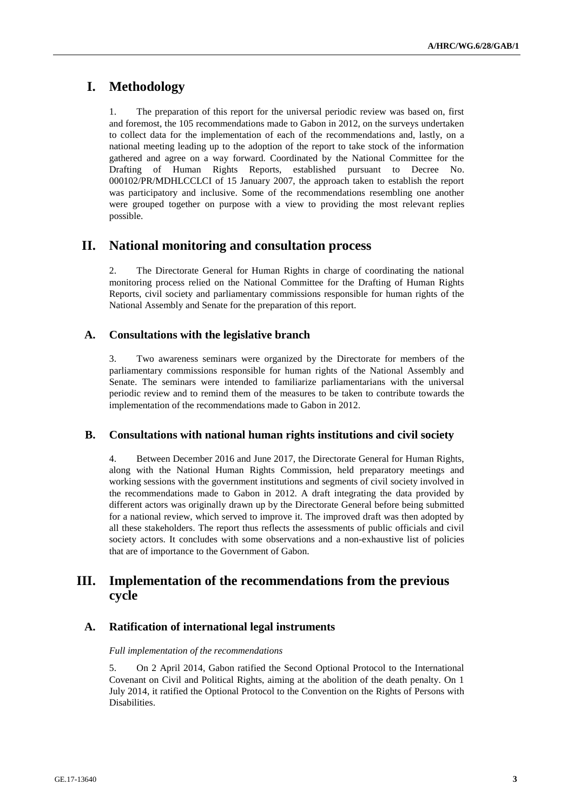# **I. Methodology**

1. The preparation of this report for the universal periodic review was based on, first and foremost, the 105 recommendations made to Gabon in 2012, on the surveys undertaken to collect data for the implementation of each of the recommendations and, lastly, on a national meeting leading up to the adoption of the report to take stock of the information gathered and agree on a way forward. Coordinated by the National Committee for the Drafting of Human Rights Reports, established pursuant to Decree No. 000102/PR/MDHLCCLCI of 15 January 2007, the approach taken to establish the report was participatory and inclusive. Some of the recommendations resembling one another were grouped together on purpose with a view to providing the most relevant replies possible.

# **II. National monitoring and consultation process**

2. The Directorate General for Human Rights in charge of coordinating the national monitoring process relied on the National Committee for the Drafting of Human Rights Reports, civil society and parliamentary commissions responsible for human rights of the National Assembly and Senate for the preparation of this report.

## **A. Consultations with the legislative branch**

3. Two awareness seminars were organized by the Directorate for members of the parliamentary commissions responsible for human rights of the National Assembly and Senate. The seminars were intended to familiarize parliamentarians with the universal periodic review and to remind them of the measures to be taken to contribute towards the implementation of the recommendations made to Gabon in 2012.

## **B. Consultations with national human rights institutions and civil society**

4. Between December 2016 and June 2017, the Directorate General for Human Rights, along with the National Human Rights Commission, held preparatory meetings and working sessions with the government institutions and segments of civil society involved in the recommendations made to Gabon in 2012. A draft integrating the data provided by different actors was originally drawn up by the Directorate General before being submitted for a national review, which served to improve it. The improved draft was then adopted by all these stakeholders. The report thus reflects the assessments of public officials and civil society actors. It concludes with some observations and a non-exhaustive list of policies that are of importance to the Government of Gabon.

# **III. Implementation of the recommendations from the previous cycle**

## **A. Ratification of international legal instruments**

## *Full implementation of the recommendations*

5. On 2 April 2014, Gabon ratified the Second Optional Protocol to the International Covenant on Civil and Political Rights, aiming at the abolition of the death penalty. On 1 July 2014, it ratified the Optional Protocol to the Convention on the Rights of Persons with Disabilities.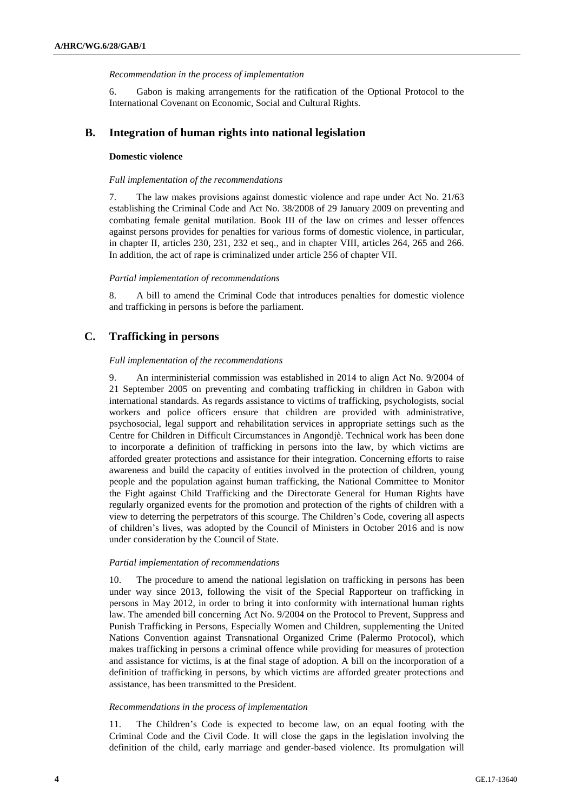#### *Recommendation in the process of implementation*

6. Gabon is making arrangements for the ratification of the Optional Protocol to the International Covenant on Economic, Social and Cultural Rights.

## **B. Integration of human rights into national legislation**

#### **Domestic violence**

#### *Full implementation of the recommendations*

7. The law makes provisions against domestic violence and rape under Act No. 21/63 establishing the Criminal Code and Act No. 38/2008 of 29 January 2009 on preventing and combating female genital mutilation. Book III of the law on crimes and lesser offences against persons provides for penalties for various forms of domestic violence, in particular, in chapter II, articles 230, 231, 232 et seq., and in chapter VIII, articles 264, 265 and 266. In addition, the act of rape is criminalized under article 256 of chapter VII.

#### *Partial implementation of recommendations*

8. A bill to amend the Criminal Code that introduces penalties for domestic violence and trafficking in persons is before the parliament.

## **C. Trafficking in persons**

#### *Full implementation of the recommendations*

9. An interministerial commission was established in 2014 to align Act No. 9/2004 of 21 September 2005 on preventing and combating trafficking in children in Gabon with international standards. As regards assistance to victims of trafficking, psychologists, social workers and police officers ensure that children are provided with administrative, psychosocial, legal support and rehabilitation services in appropriate settings such as the Centre for Children in Difficult Circumstances in Angondjè. Technical work has been done to incorporate a definition of trafficking in persons into the law, by which victims are afforded greater protections and assistance for their integration. Concerning efforts to raise awareness and build the capacity of entities involved in the protection of children, young people and the population against human trafficking, the National Committee to Monitor the Fight against Child Trafficking and the Directorate General for Human Rights have regularly organized events for the promotion and protection of the rights of children with a view to deterring the perpetrators of this scourge. The Children's Code, covering all aspects of children's lives, was adopted by the Council of Ministers in October 2016 and is now under consideration by the Council of State.

### *Partial implementation of recommendations*

10. The procedure to amend the national legislation on trafficking in persons has been under way since 2013, following the visit of the Special Rapporteur on trafficking in persons in May 2012, in order to bring it into conformity with international human rights law. The amended bill concerning Act No. 9/2004 on the Protocol to Prevent, Suppress and Punish Trafficking in Persons, Especially Women and Children, supplementing the United Nations Convention against Transnational Organized Crime (Palermo Protocol), which makes trafficking in persons a criminal offence while providing for measures of protection and assistance for victims, is at the final stage of adoption. A bill on the incorporation of a definition of trafficking in persons, by which victims are afforded greater protections and assistance, has been transmitted to the President.

#### *Recommendations in the process of implementation*

11. The Children's Code is expected to become law, on an equal footing with the Criminal Code and the Civil Code. It will close the gaps in the legislation involving the definition of the child, early marriage and gender-based violence. Its promulgation will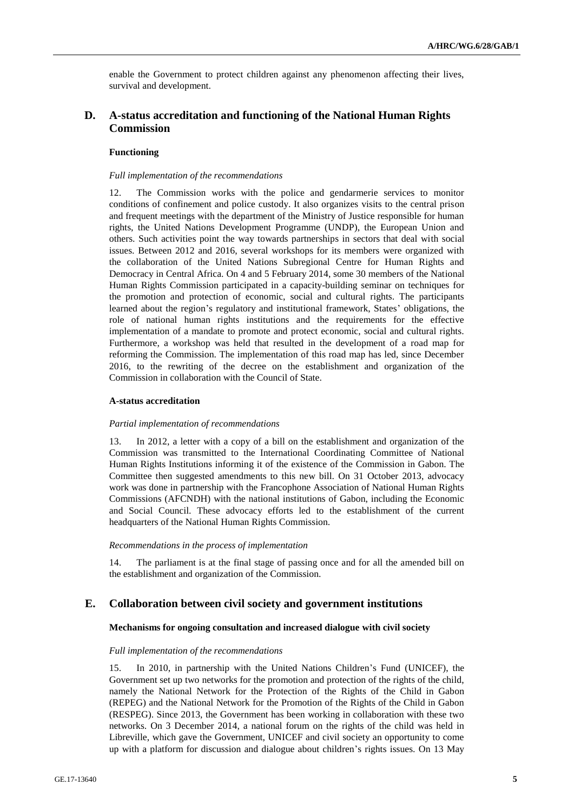enable the Government to protect children against any phenomenon affecting their lives, survival and development.

## **D. A-status accreditation and functioning of the National Human Rights Commission**

## **Functioning**

#### *Full implementation of the recommendations*

12. The Commission works with the police and gendarmerie services to monitor conditions of confinement and police custody. It also organizes visits to the central prison and frequent meetings with the department of the Ministry of Justice responsible for human rights, the United Nations Development Programme (UNDP), the European Union and others. Such activities point the way towards partnerships in sectors that deal with social issues. Between 2012 and 2016, several workshops for its members were organized with the collaboration of the United Nations Subregional Centre for Human Rights and Democracy in Central Africa. On 4 and 5 February 2014, some 30 members of the National Human Rights Commission participated in a capacity-building seminar on techniques for the promotion and protection of economic, social and cultural rights. The participants learned about the region's regulatory and institutional framework, States' obligations, the role of national human rights institutions and the requirements for the effective implementation of a mandate to promote and protect economic, social and cultural rights. Furthermore, a workshop was held that resulted in the development of a road map for reforming the Commission. The implementation of this road map has led, since December 2016, to the rewriting of the decree on the establishment and organization of the Commission in collaboration with the Council of State.

### **A-status accreditation**

#### *Partial implementation of recommendations*

13. In 2012, a letter with a copy of a bill on the establishment and organization of the Commission was transmitted to the International Coordinating Committee of National Human Rights Institutions informing it of the existence of the Commission in Gabon. The Committee then suggested amendments to this new bill. On 31 October 2013, advocacy work was done in partnership with the Francophone Association of National Human Rights Commissions (AFCNDH) with the national institutions of Gabon, including the Economic and Social Council. These advocacy efforts led to the establishment of the current headquarters of the National Human Rights Commission.

#### *Recommendations in the process of implementation*

14. The parliament is at the final stage of passing once and for all the amended bill on the establishment and organization of the Commission.

## **E. Collaboration between civil society and government institutions**

### **Mechanisms for ongoing consultation and increased dialogue with civil society**

#### *Full implementation of the recommendations*

15. In 2010, in partnership with the United Nations Children's Fund (UNICEF), the Government set up two networks for the promotion and protection of the rights of the child, namely the National Network for the Protection of the Rights of the Child in Gabon (REPEG) and the National Network for the Promotion of the Rights of the Child in Gabon (RESPEG). Since 2013, the Government has been working in collaboration with these two networks. On 3 December 2014, a national forum on the rights of the child was held in Libreville, which gave the Government, UNICEF and civil society an opportunity to come up with a platform for discussion and dialogue about children's rights issues. On 13 May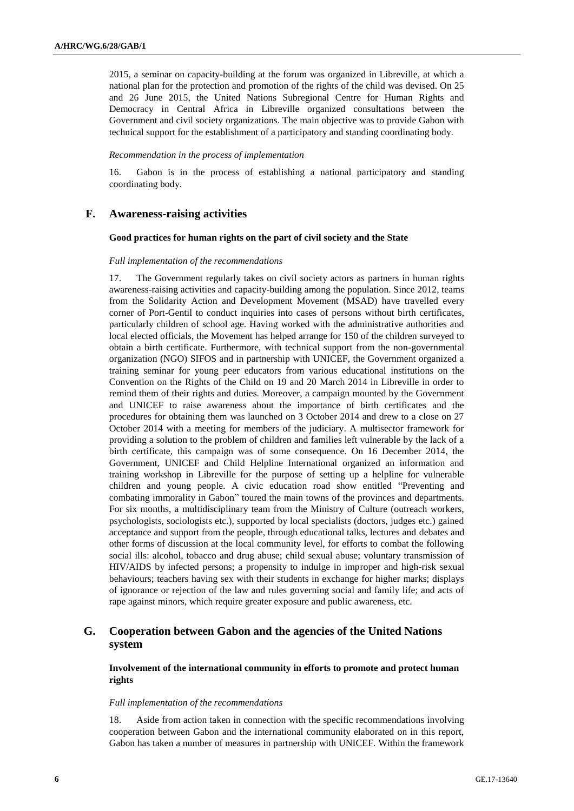2015, a seminar on capacity-building at the forum was organized in Libreville, at which a national plan for the protection and promotion of the rights of the child was devised. On 25 and 26 June 2015, the United Nations Subregional Centre for Human Rights and Democracy in Central Africa in Libreville organized consultations between the Government and civil society organizations. The main objective was to provide Gabon with technical support for the establishment of a participatory and standing coordinating body.

#### *Recommendation in the process of implementation*

16. Gabon is in the process of establishing a national participatory and standing coordinating body.

## **F. Awareness-raising activities**

#### **Good practices for human rights on the part of civil society and the State**

#### *Full implementation of the recommendations*

17. The Government regularly takes on civil society actors as partners in human rights awareness-raising activities and capacity-building among the population. Since 2012, teams from the Solidarity Action and Development Movement (MSAD) have travelled every corner of Port-Gentil to conduct inquiries into cases of persons without birth certificates, particularly children of school age. Having worked with the administrative authorities and local elected officials, the Movement has helped arrange for 150 of the children surveyed to obtain a birth certificate. Furthermore, with technical support from the non-governmental organization (NGO) SIFOS and in partnership with UNICEF, the Government organized a training seminar for young peer educators from various educational institutions on the Convention on the Rights of the Child on 19 and 20 March 2014 in Libreville in order to remind them of their rights and duties. Moreover, a campaign mounted by the Government and UNICEF to raise awareness about the importance of birth certificates and the procedures for obtaining them was launched on 3 October 2014 and drew to a close on 27 October 2014 with a meeting for members of the judiciary. A multisector framework for providing a solution to the problem of children and families left vulnerable by the lack of a birth certificate, this campaign was of some consequence. On 16 December 2014, the Government, UNICEF and Child Helpline International organized an information and training workshop in Libreville for the purpose of setting up a helpline for vulnerable children and young people. A civic education road show entitled "Preventing and combating immorality in Gabon" toured the main towns of the provinces and departments. For six months, a multidisciplinary team from the Ministry of Culture (outreach workers, psychologists, sociologists etc.), supported by local specialists (doctors, judges etc.) gained acceptance and support from the people, through educational talks, lectures and debates and other forms of discussion at the local community level, for efforts to combat the following social ills: alcohol, tobacco and drug abuse; child sexual abuse; voluntary transmission of HIV/AIDS by infected persons; a propensity to indulge in improper and high-risk sexual behaviours; teachers having sex with their students in exchange for higher marks; displays of ignorance or rejection of the law and rules governing social and family life; and acts of rape against minors, which require greater exposure and public awareness, etc.

## **G. Cooperation between Gabon and the agencies of the United Nations system**

## **Involvement of the international community in efforts to promote and protect human rights**

#### *Full implementation of the recommendations*

18. Aside from action taken in connection with the specific recommendations involving cooperation between Gabon and the international community elaborated on in this report, Gabon has taken a number of measures in partnership with UNICEF. Within the framework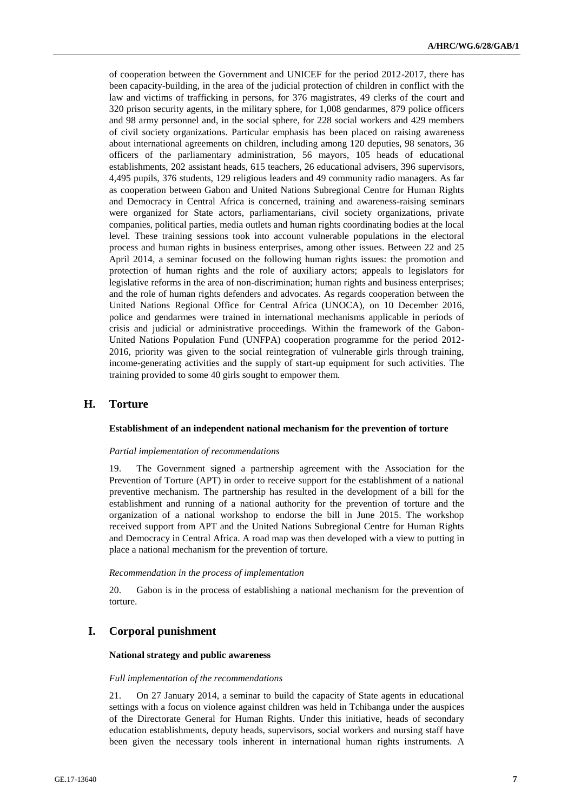of cooperation between the Government and UNICEF for the period 2012-2017, there has been capacity-building, in the area of the judicial protection of children in conflict with the law and victims of trafficking in persons, for 376 magistrates, 49 clerks of the court and 320 prison security agents, in the military sphere, for 1,008 gendarmes, 879 police officers and 98 army personnel and, in the social sphere, for 228 social workers and 429 members of civil society organizations. Particular emphasis has been placed on raising awareness about international agreements on children, including among 120 deputies, 98 senators, 36 officers of the parliamentary administration, 56 mayors, 105 heads of educational establishments, 202 assistant heads, 615 teachers, 26 educational advisers, 396 supervisors, 4,495 pupils, 376 students, 129 religious leaders and 49 community radio managers. As far as cooperation between Gabon and United Nations Subregional Centre for Human Rights and Democracy in Central Africa is concerned, training and awareness-raising seminars were organized for State actors, parliamentarians, civil society organizations, private companies, political parties, media outlets and human rights coordinating bodies at the local level. These training sessions took into account vulnerable populations in the electoral process and human rights in business enterprises, among other issues. Between 22 and 25 April 2014, a seminar focused on the following human rights issues: the promotion and protection of human rights and the role of auxiliary actors; appeals to legislators for legislative reforms in the area of non-discrimination; human rights and business enterprises; and the role of human rights defenders and advocates. As regards cooperation between the United Nations Regional Office for Central Africa (UNOCA), on 10 December 2016, police and gendarmes were trained in international mechanisms applicable in periods of crisis and judicial or administrative proceedings. Within the framework of the Gabon-United Nations Population Fund (UNFPA) cooperation programme for the period 2012- 2016, priority was given to the social reintegration of vulnerable girls through training, income-generating activities and the supply of start-up equipment for such activities. The training provided to some 40 girls sought to empower them.

## **H. Torture**

#### **Establishment of an independent national mechanism for the prevention of torture**

#### *Partial implementation of recommendations*

19. The Government signed a partnership agreement with the Association for the Prevention of Torture (APT) in order to receive support for the establishment of a national preventive mechanism. The partnership has resulted in the development of a bill for the establishment and running of a national authority for the prevention of torture and the organization of a national workshop to endorse the bill in June 2015. The workshop received support from APT and the United Nations Subregional Centre for Human Rights and Democracy in Central Africa. A road map was then developed with a view to putting in place a national mechanism for the prevention of torture.

### *Recommendation in the process of implementation*

20. Gabon is in the process of establishing a national mechanism for the prevention of torture.

## **I. Corporal punishment**

### **National strategy and public awareness**

### *Full implementation of the recommendations*

21. On 27 January 2014, a seminar to build the capacity of State agents in educational settings with a focus on violence against children was held in Tchibanga under the auspices of the Directorate General for Human Rights. Under this initiative, heads of secondary education establishments, deputy heads, supervisors, social workers and nursing staff have been given the necessary tools inherent in international human rights instruments. A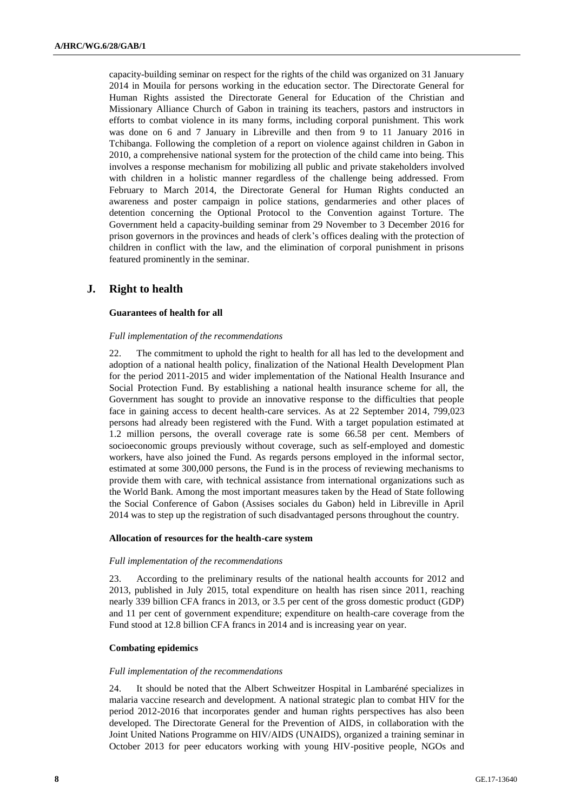capacity-building seminar on respect for the rights of the child was organized on 31 January 2014 in Mouila for persons working in the education sector. The Directorate General for Human Rights assisted the Directorate General for Education of the Christian and Missionary Alliance Church of Gabon in training its teachers, pastors and instructors in efforts to combat violence in its many forms, including corporal punishment. This work was done on 6 and 7 January in Libreville and then from 9 to 11 January 2016 in Tchibanga. Following the completion of a report on violence against children in Gabon in 2010, a comprehensive national system for the protection of the child came into being. This involves a response mechanism for mobilizing all public and private stakeholders involved with children in a holistic manner regardless of the challenge being addressed. From February to March 2014, the Directorate General for Human Rights conducted an awareness and poster campaign in police stations, gendarmeries and other places of detention concerning the Optional Protocol to the Convention against Torture. The Government held a capacity-building seminar from 29 November to 3 December 2016 for prison governors in the provinces and heads of clerk's offices dealing with the protection of children in conflict with the law, and the elimination of corporal punishment in prisons featured prominently in the seminar.

## **J. Right to health**

#### **Guarantees of health for all**

#### *Full implementation of the recommendations*

22. The commitment to uphold the right to health for all has led to the development and adoption of a national health policy, finalization of the National Health Development Plan for the period 2011-2015 and wider implementation of the National Health Insurance and Social Protection Fund. By establishing a national health insurance scheme for all, the Government has sought to provide an innovative response to the difficulties that people face in gaining access to decent health-care services. As at 22 September 2014, 799,023 persons had already been registered with the Fund. With a target population estimated at 1.2 million persons, the overall coverage rate is some 66.58 per cent. Members of socioeconomic groups previously without coverage, such as self-employed and domestic workers, have also joined the Fund. As regards persons employed in the informal sector, estimated at some 300,000 persons, the Fund is in the process of reviewing mechanisms to provide them with care, with technical assistance from international organizations such as the World Bank. Among the most important measures taken by the Head of State following the Social Conference of Gabon (Assises sociales du Gabon) held in Libreville in April 2014 was to step up the registration of such disadvantaged persons throughout the country.

#### **Allocation of resources for the health-care system**

#### *Full implementation of the recommendations*

23. According to the preliminary results of the national health accounts for 2012 and 2013, published in July 2015, total expenditure on health has risen since 2011, reaching nearly 339 billion CFA francs in 2013, or 3.5 per cent of the gross domestic product (GDP) and 11 per cent of government expenditure; expenditure on health-care coverage from the Fund stood at 12.8 billion CFA francs in 2014 and is increasing year on year.

### **Combating epidemics**

#### *Full implementation of the recommendations*

24. It should be noted that the Albert Schweitzer Hospital in Lambaréné specializes in malaria vaccine research and development. A national strategic plan to combat HIV for the period 2012-2016 that incorporates gender and human rights perspectives has also been developed. The Directorate General for the Prevention of AIDS, in collaboration with the Joint United Nations Programme on HIV/AIDS (UNAIDS), organized a training seminar in October 2013 for peer educators working with young HIV-positive people, NGOs and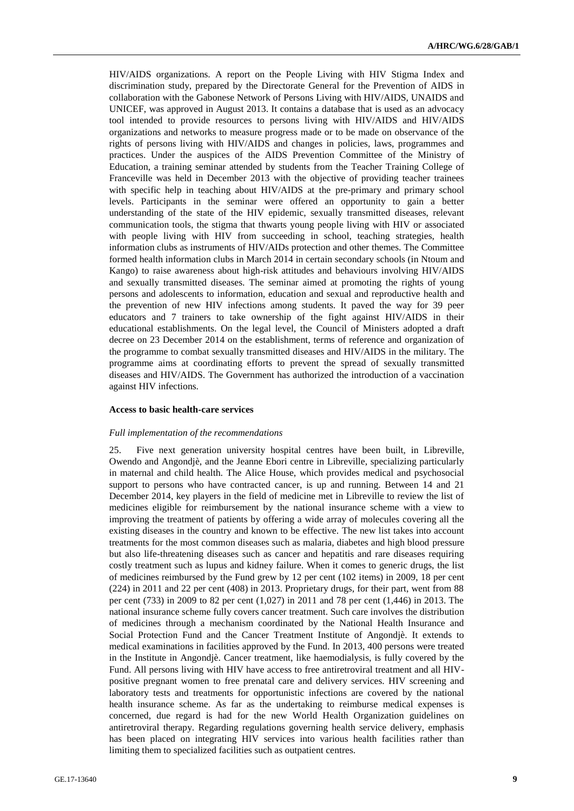HIV/AIDS organizations. A report on the People Living with HIV Stigma Index and discrimination study, prepared by the Directorate General for the Prevention of AIDS in collaboration with the Gabonese Network of Persons Living with HIV/AIDS, UNAIDS and UNICEF, was approved in August 2013. It contains a database that is used as an advocacy tool intended to provide resources to persons living with HIV/AIDS and HIV/AIDS organizations and networks to measure progress made or to be made on observance of the rights of persons living with HIV/AIDS and changes in policies, laws, programmes and practices. Under the auspices of the AIDS Prevention Committee of the Ministry of Education, a training seminar attended by students from the Teacher Training College of Franceville was held in December 2013 with the objective of providing teacher trainees with specific help in teaching about HIV/AIDS at the pre-primary and primary school levels. Participants in the seminar were offered an opportunity to gain a better understanding of the state of the HIV epidemic, sexually transmitted diseases, relevant communication tools, the stigma that thwarts young people living with HIV or associated with people living with HIV from succeeding in school, teaching strategies, health information clubs as instruments of HIV/AIDs protection and other themes. The Committee formed health information clubs in March 2014 in certain secondary schools (in Ntoum and Kango) to raise awareness about high-risk attitudes and behaviours involving HIV/AIDS and sexually transmitted diseases. The seminar aimed at promoting the rights of young persons and adolescents to information, education and sexual and reproductive health and the prevention of new HIV infections among students. It paved the way for 39 peer educators and 7 trainers to take ownership of the fight against HIV/AIDS in their educational establishments. On the legal level, the Council of Ministers adopted a draft decree on 23 December 2014 on the establishment, terms of reference and organization of the programme to combat sexually transmitted diseases and HIV/AIDS in the military. The programme aims at coordinating efforts to prevent the spread of sexually transmitted diseases and HIV/AIDS. The Government has authorized the introduction of a vaccination against HIV infections.

## **Access to basic health-care services**

#### *Full implementation of the recommendations*

25. Five next generation university hospital centres have been built, in Libreville, Owendo and Angondjè, and the Jeanne Ebori centre in Libreville, specializing particularly in maternal and child health. The Alice House, which provides medical and psychosocial support to persons who have contracted cancer, is up and running. Between 14 and 21 December 2014, key players in the field of medicine met in Libreville to review the list of medicines eligible for reimbursement by the national insurance scheme with a view to improving the treatment of patients by offering a wide array of molecules covering all the existing diseases in the country and known to be effective. The new list takes into account treatments for the most common diseases such as malaria, diabetes and high blood pressure but also life-threatening diseases such as cancer and hepatitis and rare diseases requiring costly treatment such as lupus and kidney failure. When it comes to generic drugs, the list of medicines reimbursed by the Fund grew by 12 per cent (102 items) in 2009, 18 per cent (224) in 2011 and 22 per cent (408) in 2013. Proprietary drugs, for their part, went from 88 per cent (733) in 2009 to 82 per cent (1,027) in 2011 and 78 per cent (1,446) in 2013. The national insurance scheme fully covers cancer treatment. Such care involves the distribution of medicines through a mechanism coordinated by the National Health Insurance and Social Protection Fund and the Cancer Treatment Institute of Angondjè. It extends to medical examinations in facilities approved by the Fund. In 2013, 400 persons were treated in the Institute in Angondjè. Cancer treatment, like haemodialysis, is fully covered by the Fund. All persons living with HIV have access to free antiretroviral treatment and all HIVpositive pregnant women to free prenatal care and delivery services. HIV screening and laboratory tests and treatments for opportunistic infections are covered by the national health insurance scheme. As far as the undertaking to reimburse medical expenses is concerned, due regard is had for the new World Health Organization guidelines on antiretroviral therapy. Regarding regulations governing health service delivery, emphasis has been placed on integrating HIV services into various health facilities rather than limiting them to specialized facilities such as outpatient centres.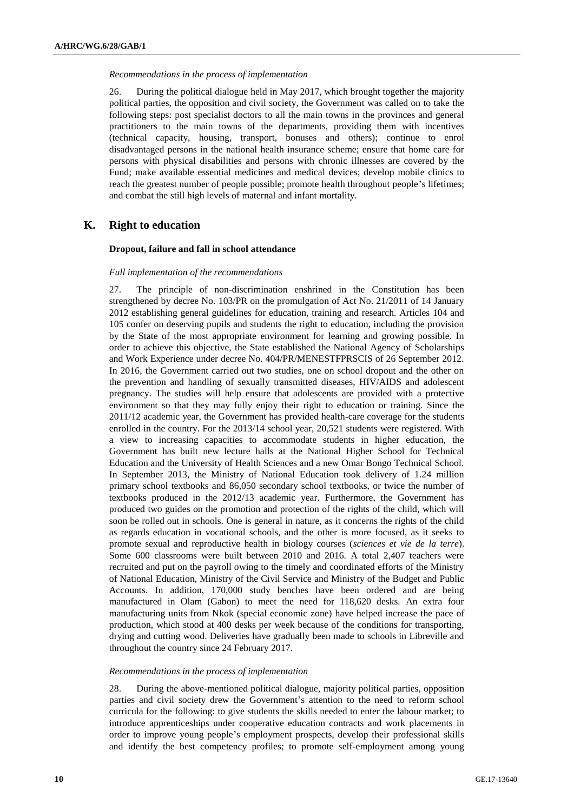#### *Recommendations in the process of implementation*

26. During the political dialogue held in May 2017, which brought together the majority political parties, the opposition and civil society, the Government was called on to take the following steps: post specialist doctors to all the main towns in the provinces and general practitioners to the main towns of the departments, providing them with incentives (technical capacity, housing, transport, bonuses and others); continue to enrol disadvantaged persons in the national health insurance scheme; ensure that home care for persons with physical disabilities and persons with chronic illnesses are covered by the Fund; make available essential medicines and medical devices; develop mobile clinics to reach the greatest number of people possible; promote health throughout people's lifetimes; and combat the still high levels of maternal and infant mortality.

## **K. Right to education**

## **Dropout, failure and fall in school attendance**

## *Full implementation of the recommendations*

27. The principle of non-discrimination enshrined in the Constitution has been strengthened by decree No. 103/PR on the promulgation of Act No. 21/2011 of 14 January 2012 establishing general guidelines for education, training and research. Articles 104 and 105 confer on deserving pupils and students the right to education, including the provision by the State of the most appropriate environment for learning and growing possible. In order to achieve this objective, the State established the National Agency of Scholarships and Work Experience under decree No. 404/PR/MENESTFPRSCIS of 26 September 2012. In 2016, the Government carried out two studies, one on school dropout and the other on the prevention and handling of sexually transmitted diseases, HIV/AIDS and adolescent pregnancy. The studies will help ensure that adolescents are provided with a protective environment so that they may fully enjoy their right to education or training. Since the 2011/12 academic year, the Government has provided health-care coverage for the students enrolled in the country. For the 2013/14 school year, 20,521 students were registered. With a view to increasing capacities to accommodate students in higher education, the Government has built new lecture halls at the National Higher School for Technical Education and the University of Health Sciences and a new Omar Bongo Technical School. In September 2013, the Ministry of National Education took delivery of 1.24 million primary school textbooks and 86,050 secondary school textbooks, or twice the number of textbooks produced in the 2012/13 academic year. Furthermore, the Government has produced two guides on the promotion and protection of the rights of the child, which will soon be rolled out in schools. One is general in nature, as it concerns the rights of the child as regards education in vocational schools, and the other is more focused, as it seeks to promote sexual and reproductive health in biology courses (*sciences et vie de la terre*). Some 600 classrooms were built between 2010 and 2016. A total 2,407 teachers were recruited and put on the payroll owing to the timely and coordinated efforts of the Ministry of National Education, Ministry of the Civil Service and Ministry of the Budget and Public Accounts. In addition, 170,000 study benches have been ordered and are being manufactured in Olam (Gabon) to meet the need for 118,620 desks. An extra four manufacturing units from Nkok (special economic zone) have helped increase the pace of production, which stood at 400 desks per week because of the conditions for transporting, drying and cutting wood. Deliveries have gradually been made to schools in Libreville and throughout the country since 24 February 2017.

#### *Recommendations in the process of implementation*

28. During the above-mentioned political dialogue, majority political parties, opposition parties and civil society drew the Government's attention to the need to reform school curricula for the following: to give students the skills needed to enter the labour market; to introduce apprenticeships under cooperative education contracts and work placements in order to improve young people's employment prospects, develop their professional skills and identify the best competency profiles; to promote self-employment among young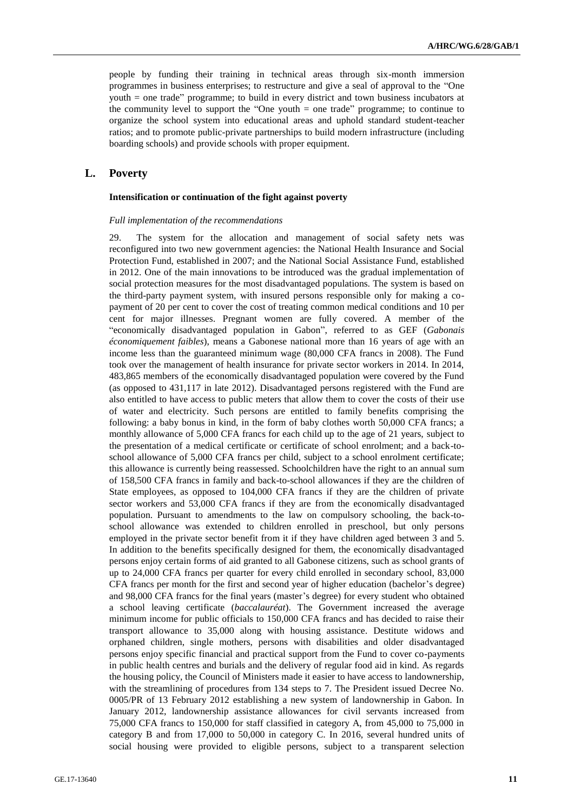people by funding their training in technical areas through six-month immersion programmes in business enterprises; to restructure and give a seal of approval to the "One youth = one trade" programme; to build in every district and town business incubators at the community level to support the "One youth = one trade" programme; to continue to organize the school system into educational areas and uphold standard student-teacher ratios; and to promote public-private partnerships to build modern infrastructure (including boarding schools) and provide schools with proper equipment.

## **L. Poverty**

#### **Intensification or continuation of the fight against poverty**

#### *Full implementation of the recommendations*

29. The system for the allocation and management of social safety nets was reconfigured into two new government agencies: the National Health Insurance and Social Protection Fund, established in 2007; and the National Social Assistance Fund, established in 2012. One of the main innovations to be introduced was the gradual implementation of social protection measures for the most disadvantaged populations. The system is based on the third-party payment system, with insured persons responsible only for making a copayment of 20 per cent to cover the cost of treating common medical conditions and 10 per cent for major illnesses. Pregnant women are fully covered. A member of the "economically disadvantaged population in Gabon", referred to as GEF (*Gabonais économiquement faibles*), means a Gabonese national more than 16 years of age with an income less than the guaranteed minimum wage (80,000 CFA francs in 2008). The Fund took over the management of health insurance for private sector workers in 2014. In 2014, 483,865 members of the economically disadvantaged population were covered by the Fund (as opposed to 431,117 in late 2012). Disadvantaged persons registered with the Fund are also entitled to have access to public meters that allow them to cover the costs of their use of water and electricity. Such persons are entitled to family benefits comprising the following: a baby bonus in kind, in the form of baby clothes worth 50,000 CFA francs; a monthly allowance of 5,000 CFA francs for each child up to the age of 21 years, subject to the presentation of a medical certificate or certificate of school enrolment; and a back-toschool allowance of 5,000 CFA francs per child, subject to a school enrolment certificate; this allowance is currently being reassessed. Schoolchildren have the right to an annual sum of 158,500 CFA francs in family and back-to-school allowances if they are the children of State employees, as opposed to 104,000 CFA francs if they are the children of private sector workers and 53,000 CFA francs if they are from the economically disadvantaged population. Pursuant to amendments to the law on compulsory schooling, the back-toschool allowance was extended to children enrolled in preschool, but only persons employed in the private sector benefit from it if they have children aged between 3 and 5. In addition to the benefits specifically designed for them, the economically disadvantaged persons enjoy certain forms of aid granted to all Gabonese citizens, such as school grants of up to 24,000 CFA francs per quarter for every child enrolled in secondary school, 83,000 CFA francs per month for the first and second year of higher education (bachelor's degree) and 98,000 CFA francs for the final years (master's degree) for every student who obtained a school leaving certificate (*baccalauréat*). The Government increased the average minimum income for public officials to 150,000 CFA francs and has decided to raise their transport allowance to 35,000 along with housing assistance. Destitute widows and orphaned children, single mothers, persons with disabilities and older disadvantaged persons enjoy specific financial and practical support from the Fund to cover co-payments in public health centres and burials and the delivery of regular food aid in kind. As regards the housing policy, the Council of Ministers made it easier to have access to landownership, with the streamlining of procedures from 134 steps to 7. The President issued Decree No. 0005/PR of 13 February 2012 establishing a new system of landownership in Gabon. In January 2012, landownership assistance allowances for civil servants increased from 75,000 CFA francs to 150,000 for staff classified in category A, from 45,000 to 75,000 in category B and from 17,000 to 50,000 in category C. In 2016, several hundred units of social housing were provided to eligible persons, subject to a transparent selection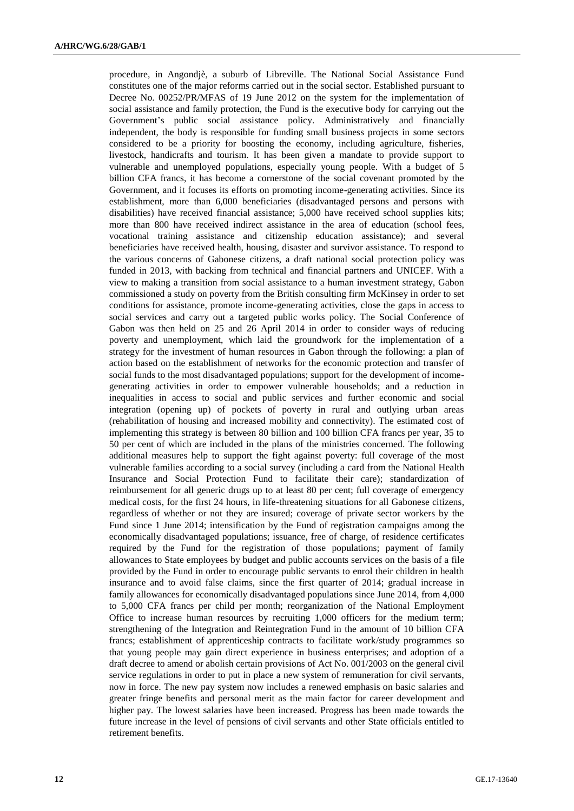procedure, in Angondjè, a suburb of Libreville. The National Social Assistance Fund constitutes one of the major reforms carried out in the social sector. Established pursuant to Decree No. 00252/PR/MFAS of 19 June 2012 on the system for the implementation of social assistance and family protection, the Fund is the executive body for carrying out the Government's public social assistance policy. Administratively and financially independent, the body is responsible for funding small business projects in some sectors considered to be a priority for boosting the economy, including agriculture, fisheries, livestock, handicrafts and tourism. It has been given a mandate to provide support to vulnerable and unemployed populations, especially young people. With a budget of 5 billion CFA francs, it has become a cornerstone of the social covenant promoted by the Government, and it focuses its efforts on promoting income-generating activities. Since its establishment, more than 6,000 beneficiaries (disadvantaged persons and persons with disabilities) have received financial assistance; 5,000 have received school supplies kits; more than 800 have received indirect assistance in the area of education (school fees, vocational training assistance and citizenship education assistance); and several beneficiaries have received health, housing, disaster and survivor assistance. To respond to the various concerns of Gabonese citizens, a draft national social protection policy was funded in 2013, with backing from technical and financial partners and UNICEF. With a view to making a transition from social assistance to a human investment strategy, Gabon commissioned a study on poverty from the British consulting firm McKinsey in order to set conditions for assistance, promote income-generating activities, close the gaps in access to social services and carry out a targeted public works policy. The Social Conference of Gabon was then held on 25 and 26 April 2014 in order to consider ways of reducing poverty and unemployment, which laid the groundwork for the implementation of a strategy for the investment of human resources in Gabon through the following: a plan of action based on the establishment of networks for the economic protection and transfer of social funds to the most disadvantaged populations; support for the development of incomegenerating activities in order to empower vulnerable households; and a reduction in inequalities in access to social and public services and further economic and social integration (opening up) of pockets of poverty in rural and outlying urban areas (rehabilitation of housing and increased mobility and connectivity). The estimated cost of implementing this strategy is between 80 billion and 100 billion CFA francs per year, 35 to 50 per cent of which are included in the plans of the ministries concerned. The following additional measures help to support the fight against poverty: full coverage of the most vulnerable families according to a social survey (including a card from the National Health Insurance and Social Protection Fund to facilitate their care); standardization of reimbursement for all generic drugs up to at least 80 per cent; full coverage of emergency medical costs, for the first 24 hours, in life-threatening situations for all Gabonese citizens, regardless of whether or not they are insured; coverage of private sector workers by the Fund since 1 June 2014; intensification by the Fund of registration campaigns among the economically disadvantaged populations; issuance, free of charge, of residence certificates required by the Fund for the registration of those populations; payment of family allowances to State employees by budget and public accounts services on the basis of a file provided by the Fund in order to encourage public servants to enrol their children in health insurance and to avoid false claims, since the first quarter of 2014; gradual increase in family allowances for economically disadvantaged populations since June 2014, from 4,000 to 5,000 CFA francs per child per month; reorganization of the National Employment Office to increase human resources by recruiting 1,000 officers for the medium term; strengthening of the Integration and Reintegration Fund in the amount of 10 billion CFA francs; establishment of apprenticeship contracts to facilitate work/study programmes so that young people may gain direct experience in business enterprises; and adoption of a draft decree to amend or abolish certain provisions of Act No. 001/2003 on the general civil service regulations in order to put in place a new system of remuneration for civil servants, now in force. The new pay system now includes a renewed emphasis on basic salaries and greater fringe benefits and personal merit as the main factor for career development and higher pay. The lowest salaries have been increased. Progress has been made towards the future increase in the level of pensions of civil servants and other State officials entitled to retirement benefits.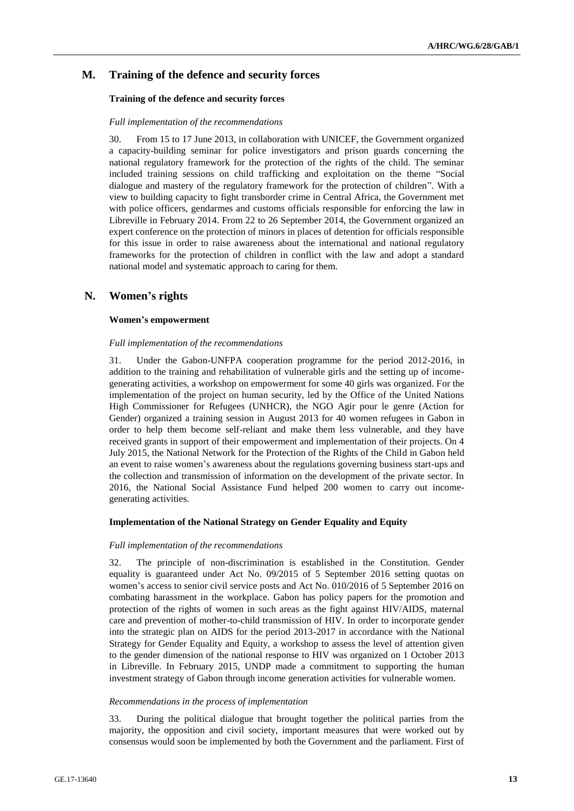## **M. Training of the defence and security forces**

### **Training of the defence and security forces**

#### *Full implementation of the recommendations*

30. From 15 to 17 June 2013, in collaboration with UNICEF, the Government organized a capacity-building seminar for police investigators and prison guards concerning the national regulatory framework for the protection of the rights of the child. The seminar included training sessions on child trafficking and exploitation on the theme "Social dialogue and mastery of the regulatory framework for the protection of children". With a view to building capacity to fight transborder crime in Central Africa, the Government met with police officers, gendarmes and customs officials responsible for enforcing the law in Libreville in February 2014. From 22 to 26 September 2014, the Government organized an expert conference on the protection of minors in places of detention for officials responsible for this issue in order to raise awareness about the international and national regulatory frameworks for the protection of children in conflict with the law and adopt a standard national model and systematic approach to caring for them.

## **N. Women's rights**

### **Women's empowerment**

### *Full implementation of the recommendations*

31. Under the Gabon-UNFPA cooperation programme for the period 2012-2016, in addition to the training and rehabilitation of vulnerable girls and the setting up of incomegenerating activities, a workshop on empowerment for some 40 girls was organized. For the implementation of the project on human security, led by the Office of the United Nations High Commissioner for Refugees (UNHCR), the NGO Agir pour le genre (Action for Gender) organized a training session in August 2013 for 40 women refugees in Gabon in order to help them become self-reliant and make them less vulnerable, and they have received grants in support of their empowerment and implementation of their projects. On 4 July 2015, the National Network for the Protection of the Rights of the Child in Gabon held an event to raise women's awareness about the regulations governing business start-ups and the collection and transmission of information on the development of the private sector. In 2016, the National Social Assistance Fund helped 200 women to carry out incomegenerating activities.

#### **Implementation of the National Strategy on Gender Equality and Equity**

#### *Full implementation of the recommendations*

32. The principle of non-discrimination is established in the Constitution. Gender equality is guaranteed under Act No. 09/2015 of 5 September 2016 setting quotas on women's access to senior civil service posts and Act No. 010/2016 of 5 September 2016 on combating harassment in the workplace. Gabon has policy papers for the promotion and protection of the rights of women in such areas as the fight against HIV/AIDS, maternal care and prevention of mother-to-child transmission of HIV. In order to incorporate gender into the strategic plan on AIDS for the period 2013-2017 in accordance with the National Strategy for Gender Equality and Equity, a workshop to assess the level of attention given to the gender dimension of the national response to HIV was organized on 1 October 2013 in Libreville. In February 2015, UNDP made a commitment to supporting the human investment strategy of Gabon through income generation activities for vulnerable women.

#### *Recommendations in the process of implementation*

33. During the political dialogue that brought together the political parties from the majority, the opposition and civil society, important measures that were worked out by consensus would soon be implemented by both the Government and the parliament. First of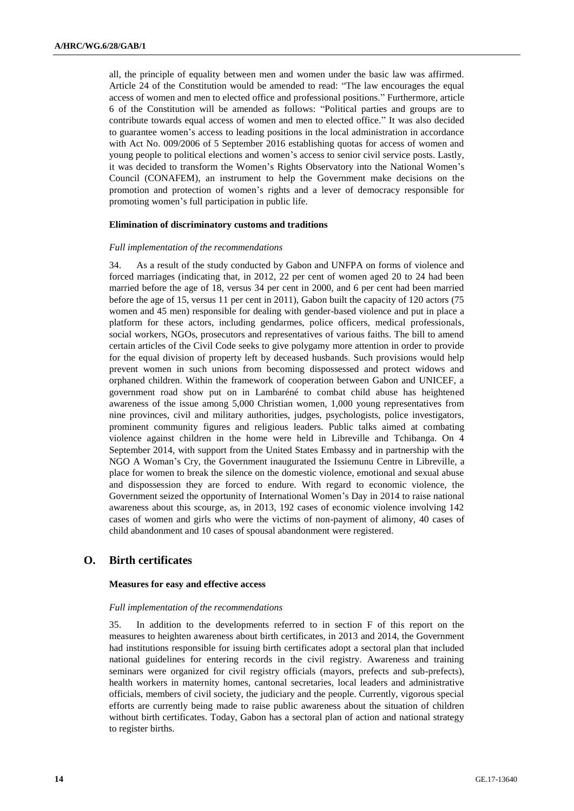all, the principle of equality between men and women under the basic law was affirmed. Article 24 of the Constitution would be amended to read: "The law encourages the equal access of women and men to elected office and professional positions." Furthermore, article 6 of the Constitution will be amended as follows: "Political parties and groups are to contribute towards equal access of women and men to elected office." It was also decided to guarantee women's access to leading positions in the local administration in accordance with Act No. 009/2006 of 5 September 2016 establishing quotas for access of women and young people to political elections and women's access to senior civil service posts. Lastly, it was decided to transform the Women's Rights Observatory into the National Women's Council (CONAFEM), an instrument to help the Government make decisions on the promotion and protection of women's rights and a lever of democracy responsible for promoting women's full participation in public life.

### **Elimination of discriminatory customs and traditions**

#### *Full implementation of the recommendations*

34. As a result of the study conducted by Gabon and UNFPA on forms of violence and forced marriages (indicating that, in 2012, 22 per cent of women aged 20 to 24 had been married before the age of 18, versus 34 per cent in 2000, and 6 per cent had been married before the age of 15, versus 11 per cent in 2011), Gabon built the capacity of 120 actors (75 women and 45 men) responsible for dealing with gender-based violence and put in place a platform for these actors, including gendarmes, police officers, medical professionals, social workers, NGOs, prosecutors and representatives of various faiths. The bill to amend certain articles of the Civil Code seeks to give polygamy more attention in order to provide for the equal division of property left by deceased husbands. Such provisions would help prevent women in such unions from becoming dispossessed and protect widows and orphaned children. Within the framework of cooperation between Gabon and UNICEF, a government road show put on in Lambaréné to combat child abuse has heightened awareness of the issue among 5,000 Christian women, 1,000 young representatives from nine provinces, civil and military authorities, judges, psychologists, police investigators, prominent community figures and religious leaders. Public talks aimed at combating violence against children in the home were held in Libreville and Tchibanga. On 4 September 2014, with support from the United States Embassy and in partnership with the NGO A Woman's Cry, the Government inaugurated the Issiemunu Centre in Libreville, a place for women to break the silence on the domestic violence, emotional and sexual abuse and dispossession they are forced to endure. With regard to economic violence, the Government seized the opportunity of International Women's Day in 2014 to raise national awareness about this scourge, as, in 2013, 192 cases of economic violence involving 142 cases of women and girls who were the victims of non-payment of alimony, 40 cases of child abandonment and 10 cases of spousal abandonment were registered.

## **O. Birth certificates**

## **Measures for easy and effective access**

#### *Full implementation of the recommendations*

35. In addition to the developments referred to in section F of this report on the measures to heighten awareness about birth certificates, in 2013 and 2014, the Government had institutions responsible for issuing birth certificates adopt a sectoral plan that included national guidelines for entering records in the civil registry. Awareness and training seminars were organized for civil registry officials (mayors, prefects and sub-prefects), health workers in maternity homes, cantonal secretaries, local leaders and administrative officials, members of civil society, the judiciary and the people. Currently, vigorous special efforts are currently being made to raise public awareness about the situation of children without birth certificates. Today, Gabon has a sectoral plan of action and national strategy to register births.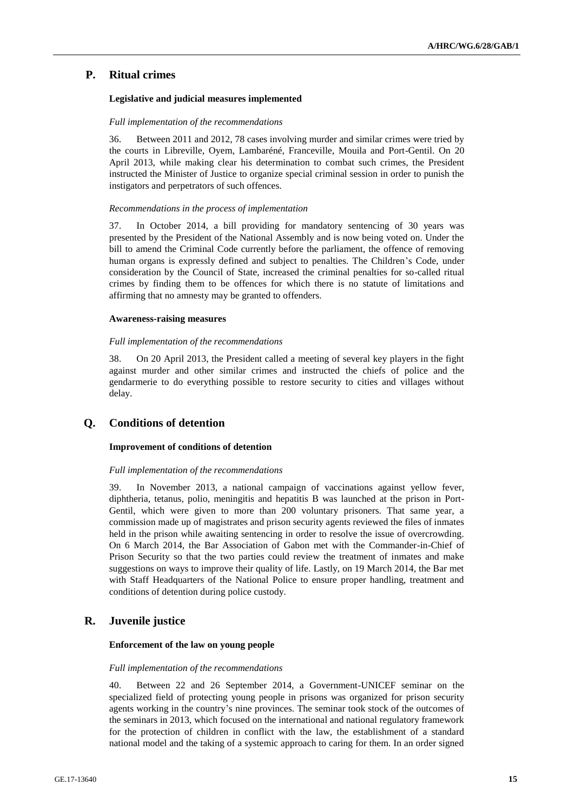## **P. Ritual crimes**

## **Legislative and judicial measures implemented**

## *Full implementation of the recommendations*

36. Between 2011 and 2012, 78 cases involving murder and similar crimes were tried by the courts in Libreville, Oyem, Lambaréné, Franceville, Mouila and Port-Gentil. On 20 April 2013, while making clear his determination to combat such crimes, the President instructed the Minister of Justice to organize special criminal session in order to punish the instigators and perpetrators of such offences.

### *Recommendations in the process of implementation*

37. In October 2014, a bill providing for mandatory sentencing of 30 years was presented by the President of the National Assembly and is now being voted on. Under the bill to amend the Criminal Code currently before the parliament, the offence of removing human organs is expressly defined and subject to penalties. The Children's Code, under consideration by the Council of State, increased the criminal penalties for so-called ritual crimes by finding them to be offences for which there is no statute of limitations and affirming that no amnesty may be granted to offenders.

### **Awareness-raising measures**

### *Full implementation of the recommendations*

38. On 20 April 2013, the President called a meeting of several key players in the fight against murder and other similar crimes and instructed the chiefs of police and the gendarmerie to do everything possible to restore security to cities and villages without delay.

## **Q. Conditions of detention**

## **Improvement of conditions of detention**

## *Full implementation of the recommendations*

39. In November 2013, a national campaign of vaccinations against yellow fever, diphtheria, tetanus, polio, meningitis and hepatitis B was launched at the prison in Port-Gentil, which were given to more than 200 voluntary prisoners. That same year, a commission made up of magistrates and prison security agents reviewed the files of inmates held in the prison while awaiting sentencing in order to resolve the issue of overcrowding. On 6 March 2014, the Bar Association of Gabon met with the Commander-in-Chief of Prison Security so that the two parties could review the treatment of inmates and make suggestions on ways to improve their quality of life. Lastly, on 19 March 2014, the Bar met with Staff Headquarters of the National Police to ensure proper handling, treatment and conditions of detention during police custody.

## **R. Juvenile justice**

## **Enforcement of the law on young people**

#### *Full implementation of the recommendations*

40. Between 22 and 26 September 2014, a Government-UNICEF seminar on the specialized field of protecting young people in prisons was organized for prison security agents working in the country's nine provinces. The seminar took stock of the outcomes of the seminars in 2013, which focused on the international and national regulatory framework for the protection of children in conflict with the law, the establishment of a standard national model and the taking of a systemic approach to caring for them. In an order signed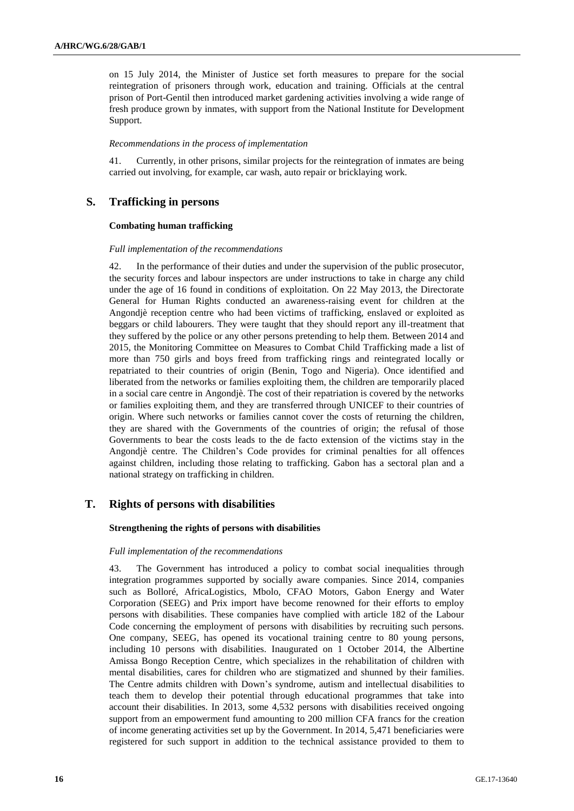on 15 July 2014, the Minister of Justice set forth measures to prepare for the social reintegration of prisoners through work, education and training. Officials at the central prison of Port-Gentil then introduced market gardening activities involving a wide range of fresh produce grown by inmates, with support from the National Institute for Development Support.

### *Recommendations in the process of implementation*

41. Currently, in other prisons, similar projects for the reintegration of inmates are being carried out involving, for example, car wash, auto repair or bricklaying work.

## **S. Trafficking in persons**

## **Combating human trafficking**

## *Full implementation of the recommendations*

42. In the performance of their duties and under the supervision of the public prosecutor, the security forces and labour inspectors are under instructions to take in charge any child under the age of 16 found in conditions of exploitation. On 22 May 2013, the Directorate General for Human Rights conducted an awareness-raising event for children at the Angondjè reception centre who had been victims of trafficking, enslaved or exploited as beggars or child labourers. They were taught that they should report any ill-treatment that they suffered by the police or any other persons pretending to help them. Between 2014 and 2015, the Monitoring Committee on Measures to Combat Child Trafficking made a list of more than 750 girls and boys freed from trafficking rings and reintegrated locally or repatriated to their countries of origin (Benin, Togo and Nigeria). Once identified and liberated from the networks or families exploiting them, the children are temporarily placed in a social care centre in Angondjè. The cost of their repatriation is covered by the networks or families exploiting them, and they are transferred through UNICEF to their countries of origin. Where such networks or families cannot cover the costs of returning the children, they are shared with the Governments of the countries of origin; the refusal of those Governments to bear the costs leads to the de facto extension of the victims stay in the Angondjè centre. The Children's Code provides for criminal penalties for all offences against children, including those relating to trafficking. Gabon has a sectoral plan and a national strategy on trafficking in children.

## **T. Rights of persons with disabilities**

## **Strengthening the rights of persons with disabilities**

## *Full implementation of the recommendations*

43. The Government has introduced a policy to combat social inequalities through integration programmes supported by socially aware companies. Since 2014, companies such as Bolloré, AfricaLogistics, Mbolo, CFAO Motors, Gabon Energy and Water Corporation (SEEG) and Prix import have become renowned for their efforts to employ persons with disabilities. These companies have complied with article 182 of the Labour Code concerning the employment of persons with disabilities by recruiting such persons. One company, SEEG, has opened its vocational training centre to 80 young persons, including 10 persons with disabilities. Inaugurated on 1 October 2014, the Albertine Amissa Bongo Reception Centre, which specializes in the rehabilitation of children with mental disabilities, cares for children who are stigmatized and shunned by their families. The Centre admits children with Down's syndrome, autism and intellectual disabilities to teach them to develop their potential through educational programmes that take into account their disabilities. In 2013, some 4,532 persons with disabilities received ongoing support from an empowerment fund amounting to 200 million CFA francs for the creation of income generating activities set up by the Government. In 2014, 5,471 beneficiaries were registered for such support in addition to the technical assistance provided to them to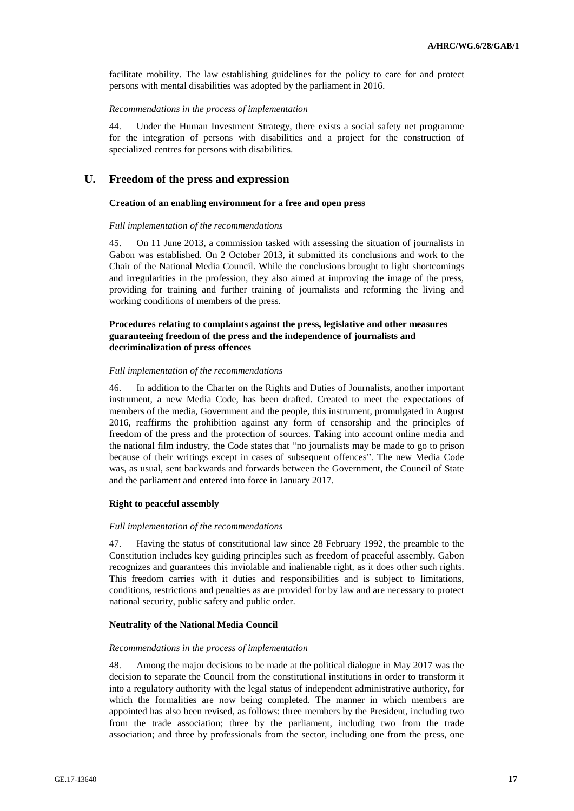facilitate mobility. The law establishing guidelines for the policy to care for and protect persons with mental disabilities was adopted by the parliament in 2016.

#### *Recommendations in the process of implementation*

44. Under the Human Investment Strategy, there exists a social safety net programme for the integration of persons with disabilities and a project for the construction of specialized centres for persons with disabilities.

## **U. Freedom of the press and expression**

#### **Creation of an enabling environment for a free and open press**

#### *Full implementation of the recommendations*

45. On 11 June 2013, a commission tasked with assessing the situation of journalists in Gabon was established. On 2 October 2013, it submitted its conclusions and work to the Chair of the National Media Council. While the conclusions brought to light shortcomings and irregularities in the profession, they also aimed at improving the image of the press, providing for training and further training of journalists and reforming the living and working conditions of members of the press.

## **Procedures relating to complaints against the press, legislative and other measures guaranteeing freedom of the press and the independence of journalists and decriminalization of press offences**

#### *Full implementation of the recommendations*

46. In addition to the Charter on the Rights and Duties of Journalists, another important instrument, a new Media Code, has been drafted. Created to meet the expectations of members of the media, Government and the people, this instrument, promulgated in August 2016, reaffirms the prohibition against any form of censorship and the principles of freedom of the press and the protection of sources. Taking into account online media and the national film industry, the Code states that "no journalists may be made to go to prison because of their writings except in cases of subsequent offences". The new Media Code was, as usual, sent backwards and forwards between the Government, the Council of State and the parliament and entered into force in January 2017.

#### **Right to peaceful assembly**

#### *Full implementation of the recommendations*

47. Having the status of constitutional law since 28 February 1992, the preamble to the Constitution includes key guiding principles such as freedom of peaceful assembly. Gabon recognizes and guarantees this inviolable and inalienable right, as it does other such rights. This freedom carries with it duties and responsibilities and is subject to limitations, conditions, restrictions and penalties as are provided for by law and are necessary to protect national security, public safety and public order.

#### **Neutrality of the National Media Council**

#### *Recommendations in the process of implementation*

48. Among the major decisions to be made at the political dialogue in May 2017 was the decision to separate the Council from the constitutional institutions in order to transform it into a regulatory authority with the legal status of independent administrative authority, for which the formalities are now being completed. The manner in which members are appointed has also been revised, as follows: three members by the President, including two from the trade association; three by the parliament, including two from the trade association; and three by professionals from the sector, including one from the press, one